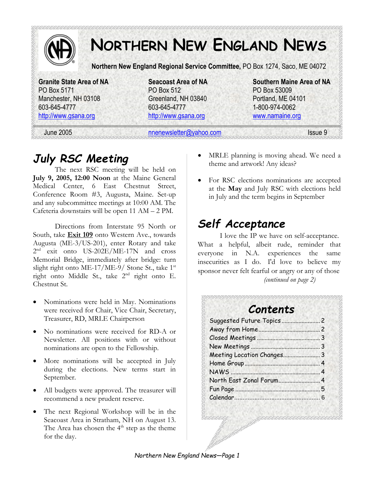

# *July RSC Meeting*

The next RSC meeting will be held on **July 9, 2005, 12:00 Noon** at the Maine General Medical Center, 6 East Chestnut Street, Conference Room #3, Augusta, Maine. Set-up and any subcommittee meetings at 10:00 AM. The Cafeteria downstairs will be open 11 AM – 2 PM.

Directions from Interstate 95 North or South, take **Exit 109** onto Western Ave., towards Augusta (ME-3/US-201), enter Rotary and take 2 nd exit onto US-202E/ME-17N and cross Memorial Bridge, immediately after bridge: turn slight right onto ME-17/ME-9/ Stone St., take  $1<sup>st</sup>$ right onto Middle St., take 2<sup>nd</sup> right onto E. Chestnut St.

- Nominations were held in May. Nominations were received for Chair, Vice Chair, Secretary, Treasurer, RD, MRLE Chairperson
- No nominations were received for RD-A or Newsletter. All positions with or without nominations are open to the Fellowship.
- More nominations will be accepted in July during the elections. New terms start in September.
- All budgets were approved. The treasurer will recommend a new prudent reserve.
- The next Regional Workshop will be in the Seacoast Area in Stratham, NH on August 13. The Area has chosen the  $4<sup>th</sup>$  step as the theme for the day.
- MRLE planning is moving ahead. We need a theme and artwork! Any ideas?
- For RSC elections nominations are accepted at the **May** and July RSC with elections held in July and the term begins in September

# *Self Acceptance*

I love the IP we have on self-acceptance. What a helpful, albeit rude, reminder that everyone in N.A. experiences the same insecurities as I do. I'd love to believe my sponsor never felt fearful or angry or any of those *(continued on page 2)* 

### *Contents*

| North East Zonal Forum 4 |  |
|--------------------------|--|
|                          |  |
|                          |  |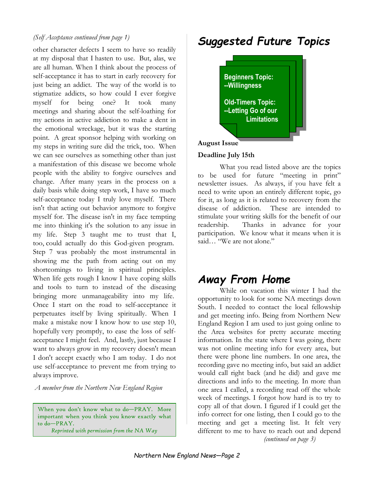#### *(Self Acceptance continued from page 1)*

other character defects I seem to have so readily at my disposal that I hasten to use. But, alas, we are all human. When I think about the process of self-acceptance it has to start in early recovery for just being an addict. The way of the world is to stigmatize addicts, so how could I ever forgive myself for being one? It took many meetings and sharing about the self-loathing for my actions in active addiction to make a dent in the emotional wreckage, but it was the starting point. A great sponsor helping with working on my steps in writing sure did the trick, too. When we can see ourselves as something other than just a manifestation of this disease we become whole people with the ability to forgive ourselves and change. After many years in the process on a daily basis while doing step work, I have so much self-acceptance today I truly love myself. There isn't that acting out behavior anymore to forgive myself for. The disease isn't in my face tempting me into thinking it's the solution to any issue in my life. Step 3 taught me to trust that I, too, could actually do this God-given program. Step 7 was probably the most instrumental in showing me the path from acting out on my shortcomings to living in spiritual principles. When life gets rough I know I have coping skills and tools to turn to instead of the diseasing bringing more unmanageability into my life. Once I start on the road to self-acceptance it perpetuates itself by living spiritually. When I make a mistake now I know how to use step 10, hopefully very promptly, to ease the loss of selfacceptance I might feel. And, lastly, just because I want to always grow in my recovery doesn't mean I don't accept exactly who I am today. I do not use self-acceptance to prevent me from trying to always improve.

*A member from the Northern New England Region* 

When you don't know what to do—PRAY. More important when you think you know exactly what to do—PRAY.

*Reprinted with permission from the NA Way*

# *Suggested Future Topics*



### **August Issue**

### **Deadline July 15th**

What you read listed above are the topics to be used for future "meeting in print" newsletter issues. As always, if you have felt a need to write upon an entirely different topic, go for it, as long as it is related to recovery from the disease of addiction. These are intended to stimulate your writing skills for the benefit of our readership. Thanks in advance for your participation. We know what it means when it is said… "We are not alone."

# *Away From Home*

While on vacation this winter I had the opportunity to look for some NA meetings down South. I needed to contact the local fellowship and get meeting info. Being from Northern New England Region I am used to just going online to the Area websites for pretty accurate meeting information. In the state where I was going, there was not online meeting info for every area, but there were phone line numbers. In one area, the recording gave no meeting info, but said an addict would call right back (and he did) and gave me directions and info to the meeting. In more than one area I called, a recording read off the whole week of meetings. I forgot how hard is to try to copy all of that down. I figured if I could get the info correct for one listing, then I could go to the meeting and get a meeting list. It felt very different to me to have to reach out and depend

*(continued on page 3)*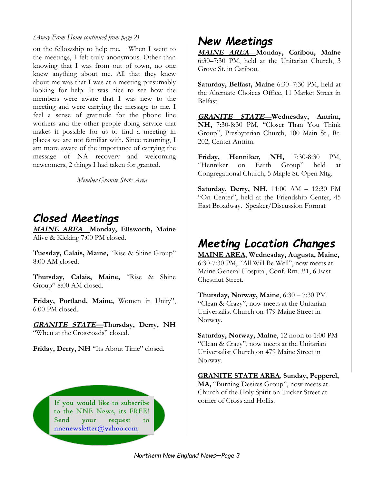#### *(Away From Home continued from page 2)*

on the fellowship to help me. When I went to the meetings, I felt truly anonymous. Other than knowing that I was from out of town, no one knew anything about me. All that they knew about me was that I was at a meeting presumably looking for help. It was nice to see how the members were aware that I was new to the meeting and were carrying the message to me. I feel a sense of gratitude for the phone line workers and the other people doing service that makes it possible for us to find a meeting in places we are not familiar with. Since returning, I am more aware of the importance of carrying the message of NA recovery and welcoming newcomers, 2 things I had taken for granted.

*Member Granite State Area* 

### *Closed Meetings*

**MAINE AREA***—***Monday, Ellsworth, Maine**  Alive & Kicking 7:00 PM closed.

**Tuesday, Calais, Maine,** "Rise & Shine Group" 8:00 AM closed.

**Thursday, Calais, Maine,** "Rise & Shine Group" 8:00 AM closed.

**Friday, Portland, Maine,** Women in Unity", 6:00 PM closed.

**GRANITE STATE—Thursday, Derry, NH**  "When at the Crossroads" closed.

Friday, Derry, NH "Its About Time" closed.

If you would like to subscribe corner of Cross and Hollis. to the NNE News, its FREE! Send your request to nnenewsletter@yahoo.com

### *New Meetings*

**MAINE AREA***—***Monday, Caribou, Maine**  6:30–7:30 PM, held at the Unitarian Church, 3 Grove St. in Caribou.

**Saturday, Belfast, Maine** 6:30–7:30 PM, held at the Alternate Choices Office, 11 Market Street in Belfast.

**GRANITE STATE***—***Wednesday, Antrim, NH,** 7:30-8:30 PM, "Closer Than You Think Group", Presbyterian Church, 100 Main St., Rt. 202, Center Antrim.

**Friday, Henniker, NH,** 7:30-8:30 PM, "Henniker on Earth Group" held at Congregational Church, 5 Maple St. Open Mtg.

**Saturday, Derry, NH,** 11:00 AM – 12:30 PM "On Center", held at the Friendship Center, 45 East Broadway. Speaker/Discussion Format

### *Meeting Location Changes*

**MAINE AREA**, **Wednesday, Augusta, Maine,**  6:30-7:30 PM, "All Will Be Well", now meets at Maine General Hospital, Conf. Rm. #1, 6 East Chestnut Street.

**Thursday, Norway, Maine**, 6:30 – 7:30 PM. "Clean & Crazy", now meets at the Unitarian Universalist Church on 479 Maine Street in Norway.

**Saturday, Norway, Maine**, 12 noon to 1:00 PM "Clean & Crazy", now meets at the Unitarian Universalist Church on 479 Maine Street in Norway.

**GRANITE STATE AREA**, **Sunday, Pepperel, MA,** "Burning Desires Group", now meets at Church of the Holy Spirit on Tucker Street at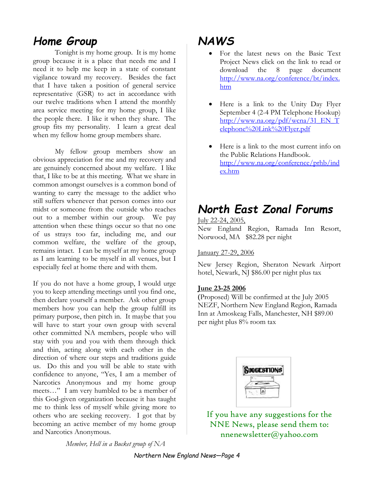# *Home Group*

Tonight is my home group. It is my home group because it is a place that needs me and I need it to help me keep in a state of constant vigilance toward my recovery. Besides the fact that I have taken a position of general service representative (GSR) to act in accordance with our twelve traditions when I attend the monthly area service meeting for my home group, I like the people there. I like it when they share. The group fits my personality. I learn a great deal when my fellow home group members share.

My fellow group members show an obvious appreciation for me and my recovery and are genuinely concerned about my welfare. I like that, I like to be at this meeting. What we share in common amongst ourselves is a common bond of wanting to carry the message to the addict who still suffers whenever that person comes into our midst or someone from the outside who reaches out to a member within our group. We pay attention when these things occur so that no one of us strays too far, including me, and our common welfare, the welfare of the group, remains intact. I can be myself at my home group as I am learning to be myself in all venues, but I especially feel at home there and with them.

If you do not have a home group, I would urge you to keep attending meetings until you find one, then declare yourself a member. Ask other group members how you can help the group fulfill its primary purpose, then pitch in. It maybe that you will have to start your own group with several other committed NA members, people who will stay with you and you with them through thick and thin, acting along with each other in the direction of where our steps and traditions guide us. Do this and you will be able to state with confidence to anyone, "Yes, I am a member of Narcotics Anonymous and my home group meets…" I am very humbled to be a member of this God-given organization because it has taught me to think less of myself while giving more to others who are seeking recovery. I got that by becoming an active member of my home group and Narcotics Anonymous.

*NAWS* 

- For the latest news on the Basic Text Project News click on the link to read or download the 8 page document http://www.na.org/conference/bt/index. htm
- Here is a link to the Unity Day Flyer September 4 (2-4 PM Telephone Hookup) http://www.na.org/pdf/wcna/31\_EN\_T elephone%20Link%20Flyer.pdf
- Here is a link to the most current info on the Public Relations Handbook. http://www.na.org/conference/prhb/ind ex.htm

# *North East Zonal Forums*

July 22-24, 2005, New England Region, Ramada Inn Resort, Norwood, MA \$82.28 per night

#### January 27-29, 2006

New Jersey Region, Sheraton Newark Airport hotel, Newark, NJ \$86.00 per night plus tax

#### **June 23-25 2006**

(Proposed) Will be confirmed at the July 2005 NEZF, Northern New England Region, Ramada Inn at Amoskeag Falls, Manchester, NH \$89.00 per night plus 8% room tax

| GESTION |  |
|---------|--|
|         |  |
|         |  |
|         |  |

If you have any suggestions for the NNE News, please send them to: nnenewsletter@yahoo.com

*Member, Hell in a Bucket group of NA*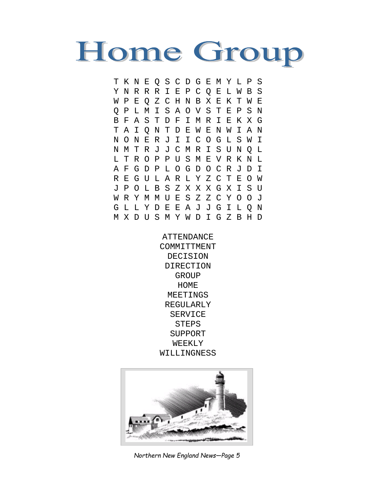

T K N E Q S C D G E M Y L P S Y N R R R I E P C Q E L W B S W P E Q Z C H N B X E K T W E Q P L M I S A O V S T E P S N B F A S T D F I M R I E K X G T A I Q N T D E W E N W I A N N O N E R J I I C O G L S W I N M T R J J C M R I S U N Q L L T R O P P U S M E V R K N L A F G D P L O G D O C R J D I R E G U L A R L Y Z C T E O W J P O L B S Z X X X G X I S U W R Y M M U E S Z Z C Y O O J G L L Y D E E A J J G I L Q N M X D U S M Y W D I G Z B H D

> **ATTENDANCE** COMMITTMENT DECISION DIRECTION GROUP HOME MEETINGS REGULARLY SERVICE **STEPS** SUPPORT WEEKLY WILLINGNESS



*Northern New England News—Page 5*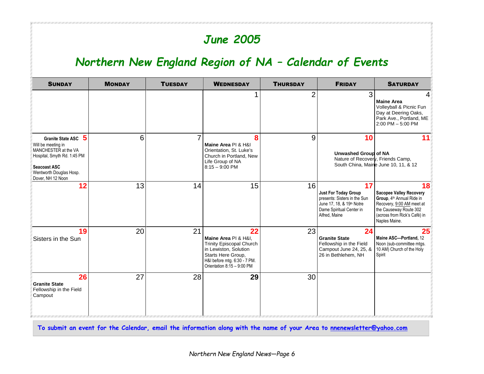# *June 2005*

# *Northern New England Region of NA – Calendar of Events*

| <b>SUNDAY</b>                                                                                                                                                                              | <b>MONDAY</b> | <b>TUESDAY</b> | <b>WEDNESDAY</b>                                                                                                                                                           | <b>THURSDAY</b> | <b>FRIDAY</b>                                                                                                                               | <b>SATURDAY</b>                                                                                                                                                           |
|--------------------------------------------------------------------------------------------------------------------------------------------------------------------------------------------|---------------|----------------|----------------------------------------------------------------------------------------------------------------------------------------------------------------------------|-----------------|---------------------------------------------------------------------------------------------------------------------------------------------|---------------------------------------------------------------------------------------------------------------------------------------------------------------------------|
|                                                                                                                                                                                            |               |                |                                                                                                                                                                            | $\overline{2}$  | 3                                                                                                                                           | 4<br><b>Maine Area</b><br>Volleyball & Picnic Fun<br>Day at Deering Oaks,<br>Park Ave., Portland, ME<br>$2:00$ PM $-5:00$ PM                                              |
| $\sqrt{5}$<br><b>Granite State ASC</b><br>Will be meeting in<br>MANCHESTER at the VA<br>Hospital, Smyth Rd. 1:45 PM<br><b>Seacoast ASC</b><br>Wentworth Douglas Hosp.<br>Dover, NH 12 Noon | 6             | 7              | 8<br>Maine Area PI & H&I<br>Orientation, St. Luke's<br>Church in Portland, New<br>Life Group of NA<br>$8:15 - 9:00$ PM                                                     | 9               | 10<br><b>Unwashed Group of NA</b><br>Nature of Recovery, Friends Camp,                                                                      | 11<br>South China, Maine June 10, 11, & 12                                                                                                                                |
| 12 <sub>2</sub>                                                                                                                                                                            | 13            | 14             | 15                                                                                                                                                                         | 16              | 17<br><b>Just For Today Group</b><br>presents: Sisters in the Sun<br>June 17, 18, & 19th Notre<br>Dame Spiritual Center in<br>Alfred, Maine | 18<br><b>Sacopee Valley Recovery</b><br>Group, 4th Annual Ride in<br>Recovery, 9:00 AM meet at<br>the Causeway Route 302<br>(across from Rick's Café) in<br>Naples Maine. |
| 19<br>Sisters in the Sun                                                                                                                                                                   | 20            | 21             | 22<br>Maine Area PI & H&I.<br><b>Trinity Episcopal Church</b><br>in Lewiston, Solution<br>Starts Here Group,<br>H&I before mtg. 6:30 - 7 PM.<br>Orientation 8:15 - 9:00 PM | 23              | 24<br><b>Granite State</b><br>Fellowship in the Field<br>Campout June 24, 25, &<br>26 in Bethlehem, NH                                      | 25<br>Maine ASC-Portland, 12<br>Noon (sub-committee mtgs.<br>10 AM) Church of the Holy<br>Spirit                                                                          |
| 26<br><b>Granite State</b><br>Fellowship in the Field<br>Campout                                                                                                                           | 27            | 28             | 29                                                                                                                                                                         | 30              |                                                                                                                                             |                                                                                                                                                                           |

**To submit an event for the Calendar, email the information along with the name of your Area to nnenewsletter@yahoo.com**